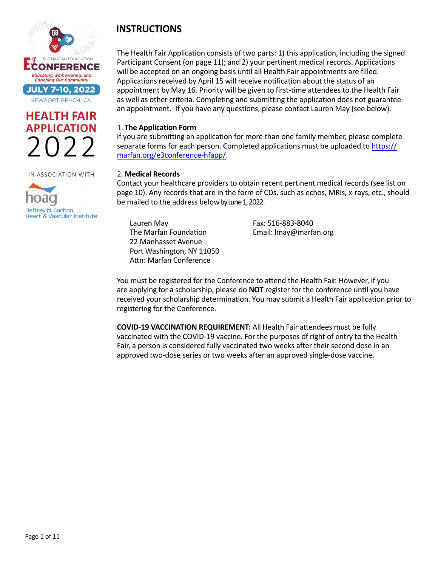





# **INSTRUCTIONS**

The Health Fair Application consists of two parts: 1) this application, including the signed Participant Consent (on page 11); and 2) your pertinent medical records. Applications will be accepted on an ongoing basis until all Health Fair appointments are filled. Applications received by April 15 will receive notification about the status of an appointment by May 16. Priority will be given to first-time attendees to the Health Fair as well as other criteria. Completing and submitting the application does not guarantee an appointment. If you have any questions, please contact Lauren May (see below).

#### 1. **The Application Form**

If you are submitting an application for more than one family member, please complete separate forms for each person. [Completed applications must be uploaded to https://](https://marfan.org/e3conference-hfapp/) marfan.org/e3conference-hfapp/.

#### 2. **Medical Records**

Contact your healthcare providers to obtain recent pertinent medical records (see list on page 10). Any records that are in the form of CDs, such as echos, MRIs, x-rays, etc., should be mailed to the address below by June 1, 2022.

Lauren May The Marfan Foundation 22 Manhasset Avenue Port Washington, NY 11050 Attn: Marfan Conference

Fax: 516-883-8040 Email: lmay@marfan.org

You must be registered for the Conference to attend the Health Fair. However, if you are applying for a scholarship, please do **NOT** register for the conference until you have received your scholarship determination. You may submit a Health Fair application prior to registering for the Conference.

**COVID-19 VACCINATION REQUIREMENT:** All Health Fair attendees must be fully vaccinated with the COVID-19 vaccine. For the purposes of right of entry to the Health Fair, a person is considered fully vaccinated two weeks after their second dose in an approved two-dose series or two weeks after an approved single-dose vaccine.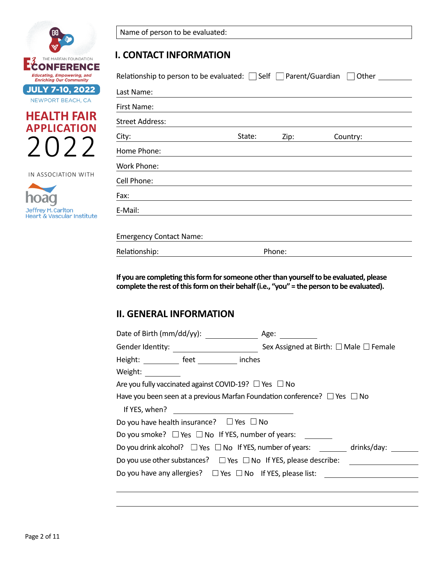





| Name of person to be evaluated: |  |  |  |  |
|---------------------------------|--|--|--|--|
|---------------------------------|--|--|--|--|

### **I. CONTACT INFORMATION**

| Relationship to person to be evaluated: $\Box$ Self $\Box$ Parent/Guardian $\Box$ Other $\Box$ |        |        |          |  |
|------------------------------------------------------------------------------------------------|--------|--------|----------|--|
| Last Name:                                                                                     |        |        |          |  |
| First Name:                                                                                    |        |        |          |  |
| <b>Street Address:</b>                                                                         |        |        |          |  |
| City:                                                                                          | State: | Zip:   | Country: |  |
| Home Phone:                                                                                    |        |        |          |  |
| <b>Work Phone:</b>                                                                             |        |        |          |  |
| Cell Phone:                                                                                    |        |        |          |  |
| Fax:                                                                                           |        |        |          |  |
| E-Mail:                                                                                        |        |        |          |  |
|                                                                                                |        |        |          |  |
| <b>Emergency Contact Name:</b>                                                                 |        |        |          |  |
| Relationship:                                                                                  |        | Phone: |          |  |

**If you are completing this form for someone other than yourself to be evaluated, please complete the rest of this form on their behalf (i.e., "you" = the person to be evaluated).**

## **II. GENERAL INFORMATION**

| Date of Birth (mm/dd/yy):                                                         | Age:                                                                                  |
|-----------------------------------------------------------------------------------|---------------------------------------------------------------------------------------|
| Gender Identity: The Contract of the Contract of Tennes and Tennes and Tennes and | Sex Assigned at Birth: $\Box$ Male $\Box$ Female                                      |
| Height: _____________ feet ___________<br>Weight: Weight:                         | inches                                                                                |
| Are you fully vaccinated against COVID-19? $\Box$ Yes $\Box$ No                   |                                                                                       |
| If YES, when?                                                                     | Have you been seen at a previous Marfan Foundation conference? $\Box$ Yes $\Box$ No   |
| Do you have health insurance? $\Box$ Yes $\Box$ No                                |                                                                                       |
| Do you smoke? $\Box$ Yes $\Box$ No If YES, number of years:                       |                                                                                       |
|                                                                                   | Do you drink alcohol? $\square$ Yes $\square$ No If YES, number of years: drinks/day: |
| Do you use other substances? $\Box$ Yes $\Box$ No If YES, please describe:        |                                                                                       |
|                                                                                   | Do you have any allergies? $\Box$ Yes $\Box$ No If YES, please list:                  |
|                                                                                   |                                                                                       |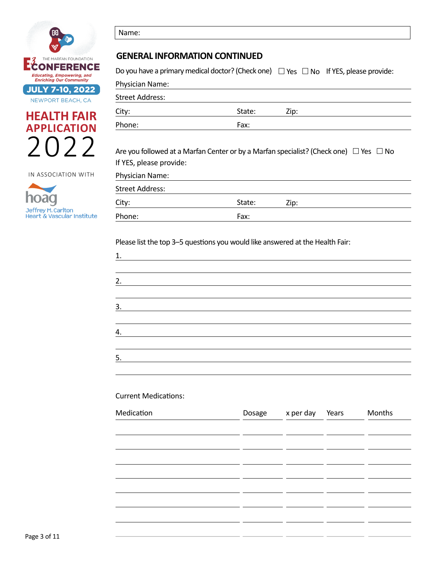





Name:

#### **GENERAL INFORMATION CONTINUED**

Do you have a primary medical doctor? (Check one)  $\Box$  Yes  $\Box$  No If YES, please provide:

| Physician Name:        |        |      |
|------------------------|--------|------|
| <b>Street Address:</b> |        |      |
| City:                  | State: | Zip: |
| Phone:                 | Fax:   |      |
|                        |        |      |

Are you followed at a Marfan Center or by a Marfan specialist? (Check one)  $\;\Box$  Yes  $\;\Box$  No If YES, please provide:

| Physician Name: |        |      |
|-----------------|--------|------|
| Street Address: |        |      |
| City:           | State: | Zip: |
| Phone:          | Fax:   |      |

Please list the top 3–5 questions you would like answered at the Health Fair:

| 1. |  |  |  |
|----|--|--|--|
|    |  |  |  |
| 2. |  |  |  |
|    |  |  |  |
| 3. |  |  |  |
|    |  |  |  |
| 4. |  |  |  |
|    |  |  |  |
| 5. |  |  |  |
|    |  |  |  |

#### Current Medications:

| Medication | Dosage x per day Years |  | Months |
|------------|------------------------|--|--------|
|            |                        |  |        |
|            |                        |  |        |
|            |                        |  |        |
|            |                        |  |        |
|            |                        |  |        |
|            |                        |  |        |
|            |                        |  |        |
|            |                        |  |        |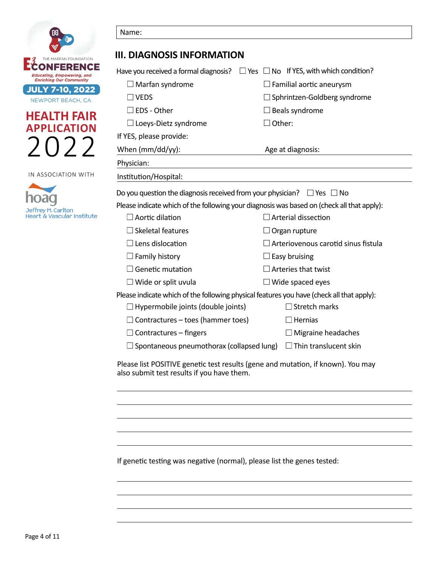

Name:



IN ASSOCIATION WITH



| Have you received a formal diagnosis? $\square$ Yes $\square$ No If YES, with which condition?<br>$\Box$ Familial aortic aneurysm<br>$\Box$ Sphrintzen-Goldberg syndrome<br>$\Box$ Beals syndrome<br>$\Box$ Other:<br>Age at diagnosis: |  |
|-----------------------------------------------------------------------------------------------------------------------------------------------------------------------------------------------------------------------------------------|--|
|                                                                                                                                                                                                                                         |  |
|                                                                                                                                                                                                                                         |  |
|                                                                                                                                                                                                                                         |  |
|                                                                                                                                                                                                                                         |  |
|                                                                                                                                                                                                                                         |  |
|                                                                                                                                                                                                                                         |  |
|                                                                                                                                                                                                                                         |  |
|                                                                                                                                                                                                                                         |  |
|                                                                                                                                                                                                                                         |  |
|                                                                                                                                                                                                                                         |  |
| Do you question the diagnosis received from your physician? $\Box$ Yes $\Box$ No                                                                                                                                                        |  |
| Please indicate which of the following your diagnosis was based on (check all that apply):                                                                                                                                              |  |
| $\Box$ Arterial dissection                                                                                                                                                                                                              |  |
| $\Box$ Organ rupture                                                                                                                                                                                                                    |  |
| $\Box$ Arteriovenous carotid sinus fistula                                                                                                                                                                                              |  |
| $\Box$ Family history<br>$\Box$ Easy bruising                                                                                                                                                                                           |  |
| $\Box$ Genetic mutation<br>$\Box$ Arteries that twist                                                                                                                                                                                   |  |
| $\Box$ Wide or split uvula<br>$\Box$ Wide spaced eyes                                                                                                                                                                                   |  |
| Please indicate which of the following physical features you have (check all that apply):                                                                                                                                               |  |
| $\Box$ Stretch marks                                                                                                                                                                                                                    |  |
| $\Box$ Hernias                                                                                                                                                                                                                          |  |
| $\Box$ Migraine headaches                                                                                                                                                                                                               |  |
| $\Box$ Spontaneous pneumothorax (collapsed lung) $\Box$ Thin translucent skin                                                                                                                                                           |  |
| Please list POSITIVE genetic test results (gene and mutation, if known). You may                                                                                                                                                        |  |

If genetic testing was negative (normal), please list the genes tested: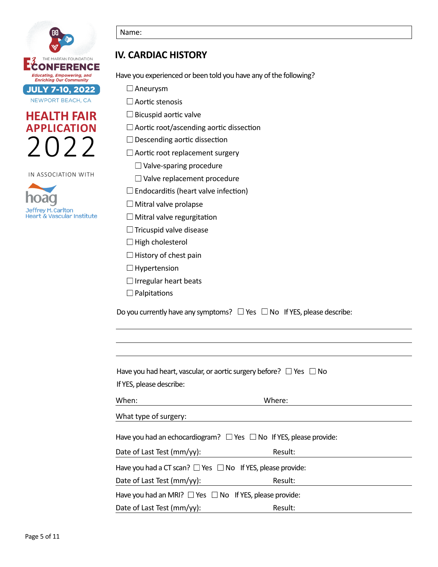





#### Name:

## **IV. CARDIAC HISTORY**

Have you experienced or been told you have any of the following?

 $\Box$  Aneurysm

 $\square$  Aortic stenosis

 $\square$  Bicuspid aortic valve

 $\Box$  Aortic root/ascending aortic dissection

 $\Box$  Descending aortic dissection

 $\Box$  Aortic root replacement surgery

 $\Box$  Valve-sparing procedure

□ Valve replacement procedure

 $\square$  Endocarditis (heart valve infection)

 $\Box$  Mitral valve prolapse

 $\Box$  Mitral valve regurgitation

 $\Box$  Tricuspid valve disease

 $\Box$  High cholesterol

 $\Box$  History of chest pain

 $\Box$  Hypertension

 $\Box$  Irregular heart beats

 $\Box$  Palpitations

Do you currently have any symptoms?  $\Box$  Yes  $\Box$  No If YES, please describe:

| Have you had heart, vascular, or aortic surgery before? $\Box$ Yes $\Box$ No |         |  |
|------------------------------------------------------------------------------|---------|--|
| If YES, please describe:                                                     |         |  |
| When:                                                                        | Where:  |  |
| What type of surgery:                                                        |         |  |
| Have you had an echocardiogram? $\Box$ Yes $\Box$ No If YES, please provide: |         |  |
| Date of Last Test (mm/yy):                                                   | Result: |  |
| Have you had a CT scan? $\Box$ Yes $\Box$ No If YES, please provide:         |         |  |
| Date of Last Test (mm/yy):                                                   | Result: |  |
| Have you had an MRI? $\Box$ Yes $\Box$ No If YES, please provide:            |         |  |
| Date of Last Test (mm/yy):                                                   | Result: |  |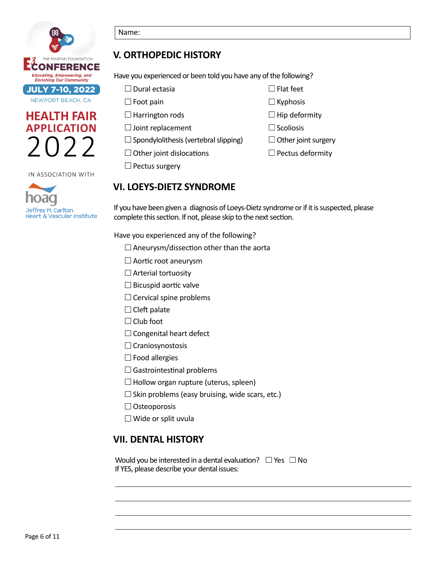

# **HEALTH FAIR APPLICATION** 2022

IN ASSOCIATION WITH



#### Name:

## **V. ORTHOPEDIC HISTORY**

Have you experienced or been told you have any of the following?

| $\Box$ Dural ectasia                         | $\Box$ Flat feet           |
|----------------------------------------------|----------------------------|
| $\Box$ Foot pain                             | $\Box$ Kyphosis            |
| $\Box$ Harrington rods                       | $\Box$ Hip deformity       |
| $\Box$ Joint replacement                     | $\Box$ Scoliosis           |
| $\Box$ Spondylolithesis (vertebral slipping) | $\Box$ Other joint surgery |
| $\Box$ Other joint dislocations              | $\Box$ Pectus deformity    |
|                                              |                            |

## **VI. LOEYS-DIETZ SYNDROME**

If you have been given a diagnosis of Loeys-Dietz syndrome or if it is suspected, please complete this section. If not, please skip to the next section.

Have you experienced any of the following?

- $\square$  Aneurysm/dissection other than the aorta
- $\square$  Aortic root aneurysm
- $\Box$  Arterial tortuosity

 $\Box$  Pectus surgery

- $\Box$  Bicuspid aortic valve
- $\Box$  Cervical spine problems
- $\Box$  Cleft palate
- $\Box$  Club foot
- $\Box$  Congenital heart defect
- $\Box$  Craniosynostosis
- $\Box$  Food allergies
- $\square$  Gastrointestinal problems
- $\Box$  Hollow organ rupture (uterus, spleen)
- $\square$  Skin problems (easy bruising, wide scars, etc.)
- $\Box$  Osteoporosis
- $\Box$  Wide or split uvula

## **VII. DENTAL HISTORY**

Would you be interested in a dental evaluation?  $\Box$  Yes  $\Box$  No If YES, please describe your dental issues: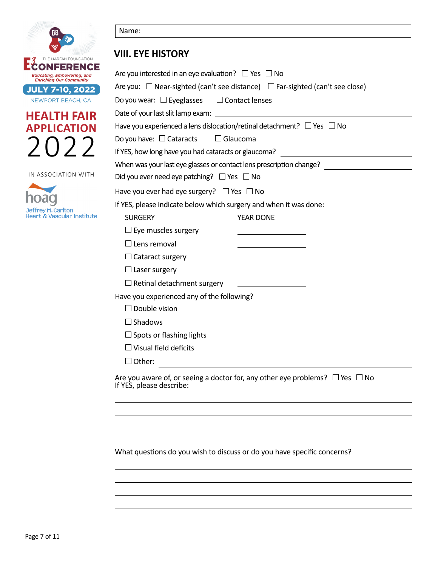





## **VIII. EYE HISTORY**

| Are you interested in an eye evaluation? $\Box$ Yes $\Box$ No                                                      |
|--------------------------------------------------------------------------------------------------------------------|
| Are you: $\Box$ Near-sighted (can't see distance) $\Box$ Far-sighted (can't see close)                             |
| Do you wear: $\square$ Eyeglasses $\square$ Contact lenses                                                         |
|                                                                                                                    |
| Have you experienced a lens dislocation/retinal detachment? $\Box$ Yes $\Box$ No                                   |
| Do you have: $\Box$ Cataracts<br>$\Box$ Glaucoma                                                                   |
| If YES, how long have you had cataracts or glaucoma?                                                               |
| When was your last eye glasses or contact lens prescription change? ________________________________               |
| Did you ever need eye patching? $\Box$ Yes $\Box$ No                                                               |
| Have you ever had eye surgery? $\Box$ Yes $\Box$ No                                                                |
| If YES, please indicate below which surgery and when it was done:                                                  |
| <b>SURGERY</b><br>YEAR DONE                                                                                        |
| $\Box$ Eye muscles surgery                                                                                         |
| $\Box$ Lens removal                                                                                                |
| $\Box$ Cataract surgery                                                                                            |
| $\Box$ Laser surgery<br><u> 1989 - Johann Barbara, martin a</u>                                                    |
| $\Box$ Retinal detachment surgery                                                                                  |
| Have you experienced any of the following?                                                                         |
| $\Box$ Double vision                                                                                               |
| $\Box$ Shadows                                                                                                     |
| $\Box$ Spots or flashing lights                                                                                    |
| $\Box$ Visual field deficits                                                                                       |
| $\Box$ Other:                                                                                                      |
| Are you aware of, or seeing a doctor for, any other eye problems? $\Box$ Yes $\Box$ No<br>If YES, please describe: |

What questions do you wish to discuss or do you have specific concerns?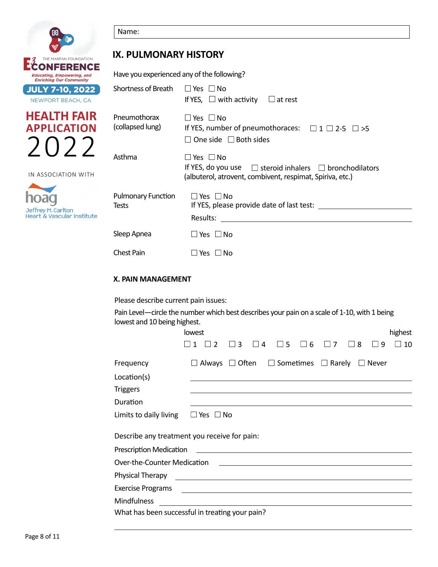

Name:

## **IX. PULMONARY HISTORY**

Have you experienced any of the following?

| <b>Enriching Our Community</b>                   |                                    |                                                                                                                                                              |
|--------------------------------------------------|------------------------------------|--------------------------------------------------------------------------------------------------------------------------------------------------------------|
| <b>JULY 7-10, 2022</b>                           | Shortness of Breath                | $\Box$ Yes $\Box$ No                                                                                                                                         |
| NEWPORT BEACH, CA                                |                                    | If YES, $\Box$ with activity<br>$\Box$ at rest                                                                                                               |
| <b>HEALTH FAIR</b><br><b>APPLICATION</b><br>2(1) | Pneumothorax<br>(collapsed lung)   | $\Box$ Yes $\Box$ No<br>If YES, number of pneumothoraces: $\Box$ 1 $\Box$ 2-5 $\Box$ >5<br>$\Box$ One side $\Box$ Both sides                                 |
| IN ASSOCIATION WITH                              | Asthma                             | $\square$ Yes $\square$ No<br>If YES, do you use $\Box$ steroid inhalers $\Box$ bronchodilators<br>(albuterol, atrovent, combivent, respimat, Spiriva, etc.) |
| Jeffrey M. Carlton<br>Heart & Vascular Institute | <b>Pulmonary Function</b><br>Tests | $\Box$ Yes $\Box$ No<br>If YES, please provide date of last test:<br>Results:                                                                                |
|                                                  | Sleep Apnea                        | $\Box$ Yes $\Box$ No                                                                                                                                         |
|                                                  | <b>Chest Pain</b>                  | $\Box$ Yes $\Box$ No                                                                                                                                         |

#### **X. PAIN MANAGEMENT**

Please describe current pain issues:

Pain Level—circle the number which best describes your pain on a scale of 1-10, with 1 being lowest and 10 being highest.

|                                                                                                                                                         | lowest               |               |   |                |                                                                                  |            |            |   |              | highest |
|---------------------------------------------------------------------------------------------------------------------------------------------------------|----------------------|---------------|---|----------------|----------------------------------------------------------------------------------|------------|------------|---|--------------|---------|
|                                                                                                                                                         |                      | $\mathcal{P}$ | 3 | $\overline{a}$ | $\Box$ 5                                                                         | $\sqcup$ 6 | $\sqcup$ 7 | 8 | 9            | 10      |
| Frequency                                                                                                                                               |                      |               |   |                | $\Box$ Always $\Box$ Often $\Box$ Sometimes $\Box$ Rarely                        |            |            |   | $\Box$ Never |         |
| Location(s)                                                                                                                                             |                      |               |   |                |                                                                                  |            |            |   |              |         |
| <b>Triggers</b>                                                                                                                                         |                      |               |   |                |                                                                                  |            |            |   |              |         |
| Duration                                                                                                                                                |                      |               |   |                | ,我们也不会有什么。""我们的人,我们也不会有什么?""我们的人,我们也不会有什么?""我们的人,我们的人,我们的人,我们的人,我们的人,我们的人,我们的人,我 |            |            |   |              |         |
| Limits to daily living                                                                                                                                  | $\Box$ Yes $\Box$ No |               |   |                |                                                                                  |            |            |   |              |         |
| Describe any treatment you receive for pain:                                                                                                            |                      |               |   |                |                                                                                  |            |            |   |              |         |
| <b>Prescription Medication</b><br><u> 1989 - Andrea State Barbara, amerikan personal di sebagai personal di sebagai personal di sebagai personal di</u> |                      |               |   |                |                                                                                  |            |            |   |              |         |
| Over-the-Counter Medication<br><u> Alexandria de la contrada de la contrada de la contrada de la contrada de la contrada de la contrada de la c</u>     |                      |               |   |                |                                                                                  |            |            |   |              |         |
| Physical Therapy<br><u> 1989 - Andrea Station, amerikansk politik (d. 1989)</u>                                                                         |                      |               |   |                |                                                                                  |            |            |   |              |         |
| <b>Exercise Programs</b><br><u> 1989 - Johann Stoff, amerikansk politiker (d. 1989)</u>                                                                 |                      |               |   |                |                                                                                  |            |            |   |              |         |
| <b>Mindfulness</b>                                                                                                                                      |                      |               |   |                |                                                                                  |            |            |   |              |         |
| What has been successful in treating your pain?                                                                                                         |                      |               |   |                |                                                                                  |            |            |   |              |         |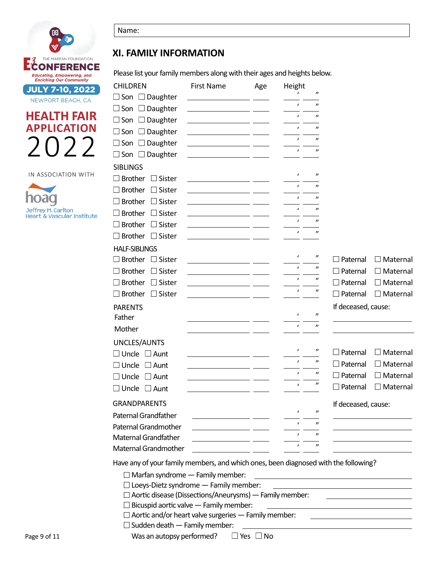

# **HEALTH FAIR APPLICATION** 2022

IN ASSOCIATION WITH



| .,<br>۰,<br>× |  |
|---------------|--|

## **XI. FAMILY INFORMATION**

Please list your family members along with their ages and heights below.

| <b>CHILDREN</b><br><b>First Name</b><br>Height<br>Age                                                                                                                                                                                                              |                   |                     |                 |  |
|--------------------------------------------------------------------------------------------------------------------------------------------------------------------------------------------------------------------------------------------------------------------|-------------------|---------------------|-----------------|--|
| $\Box$ Son $\Box$ Daughter<br><u> The Common State of the Common State of the Common State of the Common State of the Common State of the Common State of the Common State of the Common State of the Common State of the Common State of the Common State of </u> | $^{\prime\prime}$ |                     |                 |  |
| $\epsilon$<br>$\Box$ Son $\Box$ Daughter                                                                                                                                                                                                                           | $^{\prime\prime}$ |                     |                 |  |
| $\epsilon$<br>$\Box$ Son $\Box$ Daughter                                                                                                                                                                                                                           | $^{\prime\prime}$ |                     |                 |  |
| $\epsilon$<br>$\Box$ Son $\Box$ Daughter                                                                                                                                                                                                                           | $^{\prime\prime}$ |                     |                 |  |
| $\epsilon$<br>$\Box$ Son $\Box$ Daughter<br><u> 1989 - Jan Samuel Barbara, politik politik (</u>                                                                                                                                                                   | $^{\prime\prime}$ |                     |                 |  |
| $\epsilon$<br>$\Box$ Son $\Box$ Daughter                                                                                                                                                                                                                           | $^{\prime\prime}$ |                     |                 |  |
| <b>SIBLINGS</b>                                                                                                                                                                                                                                                    |                   |                     |                 |  |
| $\epsilon$<br>$\Box$ Brother<br>$\Box$ Sister<br><u> 1989 - Jan Samuel Barbara, poeta primeira establece</u>                                                                                                                                                       | $^{\prime\prime}$ |                     |                 |  |
| $\epsilon$<br>Brother $\Box$ Sister<br>the control of the control of the control of the                                                                                                                                                                            | $^{\prime\prime}$ |                     |                 |  |
| $\epsilon$<br>$\Box$ Brother $\Box$ Sister                                                                                                                                                                                                                         | $^{\prime\prime}$ |                     |                 |  |
| $\epsilon$<br>$\Box$ Brother $\Box$ Sister<br><u> 1989 - Andrea State Barbara, político e a f</u>                                                                                                                                                                  | $^{\prime\prime}$ |                     |                 |  |
| $\epsilon$<br>$\exists$ Brother $\Box$ Sister<br><u> 1989 - John Marie Barn, fransk politik (</u>                                                                                                                                                                  | $^{\prime\prime}$ |                     |                 |  |
| $\epsilon$<br>Brother $\Box$ Sister                                                                                                                                                                                                                                | $^{\prime\prime}$ |                     |                 |  |
| <b>HALF-SIBLINGS</b>                                                                                                                                                                                                                                               |                   |                     |                 |  |
| $\epsilon$<br>Brother □ Sister<br><u> 1989 - Andrea State Barbara, político e a contra de la contra de la contra de la contra de la contra de la c</u>                                                                                                             | $^{\prime\prime}$ | $\Box$ Paternal     | $\Box$ Maternal |  |
| $\epsilon$<br>$\Box$ Brother $\Box$ Sister<br><u> 1980 - Johann Stein, mars an Francisco a Brasil</u>                                                                                                                                                              | $^{\prime\prime}$ | Paternal            | $\Box$ Maternal |  |
| $\epsilon$<br>$\Box$ Brother $\ \Box$ Sister<br><u> 1990 - Johann Marie Barn, mars an t-Amerikaansk konst</u>                                                                                                                                                      | $^{\prime\prime}$ | Paternal            | $\Box$ Maternal |  |
| $\epsilon$<br>$\Box$ Brother $\Box$ Sister<br><u> 1989 - Albert Standard Barbara, martin a</u>                                                                                                                                                                     | $^{\prime\prime}$ | Paternal            | $\Box$ Maternal |  |
| <b>PARENTS</b>                                                                                                                                                                                                                                                     |                   | If deceased, cause: |                 |  |
| $\epsilon$<br>Father                                                                                                                                                                                                                                               | $^{\prime\prime}$ |                     |                 |  |
| $\epsilon$<br>Mother                                                                                                                                                                                                                                               | $^{\prime\prime}$ |                     |                 |  |
| UNCLES/AUNTS                                                                                                                                                                                                                                                       |                   |                     |                 |  |
| $\epsilon$<br>$\square$ Uncle<br>$\square$ Aunt                                                                                                                                                                                                                    | $^{\prime\prime}$ | Paternal            | $\Box$ Maternal |  |
| $\epsilon$<br>$\exists$ Uncle $\;\Box$ Aunt                                                                                                                                                                                                                        | $^{\prime\prime}$ | Paternal            | $\Box$ Maternal |  |
| $\epsilon$<br>$\Box$ Uncle $\Box$ Aunt                                                                                                                                                                                                                             | $^{\prime\prime}$ | Paternal            | $\Box$ Maternal |  |
| $\epsilon$<br>$\square$ Uncle<br>$\Box$ Aunt                                                                                                                                                                                                                       | $^{\prime\prime}$ | Paternal            | $\Box$ Maternal |  |
| <b>GRANDPARENTS</b>                                                                                                                                                                                                                                                |                   | If deceased, cause: |                 |  |
| $\epsilon$<br>Paternal Grandfather                                                                                                                                                                                                                                 | $^{\prime\prime}$ |                     |                 |  |
| Paternal Grandmother                                                                                                                                                                                                                                               | $^{\prime\prime}$ |                     |                 |  |
| Maternal Grandfather                                                                                                                                                                                                                                               | "                 |                     |                 |  |
| $\epsilon$<br>Maternal Grandmother                                                                                                                                                                                                                                 | $^{\prime\prime}$ |                     |                 |  |

Have any of your family members, and which ones, been diagnosed with the following?

 $\Box$  Marfan syndrome  $-$  Family member:

- $\Box$  Loeys-Dietz syndrome  $-$  Family member:
- $\Box$  Aortic disease (Dissections/Aneurysms) Family member:
	- $\square$  Bicuspid aortic valve  $-$  Family member:
	- $\Box$  Aortic and/or heart valve surgeries  $-$  Family member:
- $\Box$  Sudden death  $-$  Family member:

Was an autopsy performed?  $\Box$  Yes  $\Box$  No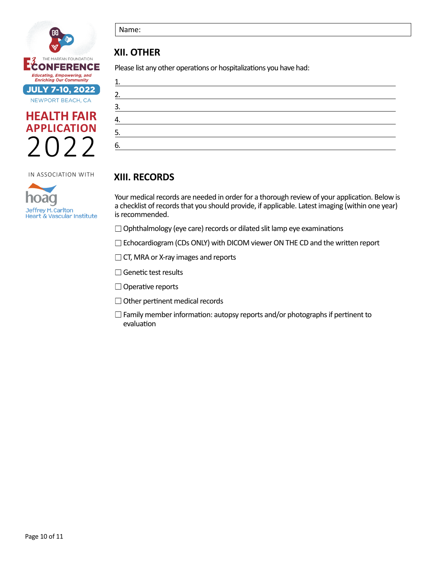





Name:

## **XII. OTHER**

Please list any other operations or hospitalizations you have had:

| 2. |  |  |  |
|----|--|--|--|
| 3. |  |  |  |
| Δ  |  |  |  |
| 5. |  |  |  |
| 6. |  |  |  |

## **XIII. RECORDS**

Your medical records are needed in order for a thorough review of your application. Below is a checklist of records that you should provide, if applicable. Latest imaging (within one year) is recommended.

 $\Box$  Ophthalmology (eye care) records or dilated slit lamp eye examinations

 $\Box$  Echocardiogram (CDs ONLY) with DICOM viewer ON THE CD and the written report

 $\Box$  CT, MRA or X-ray images and reports

 $\Box$  Genetic test results

 $\Box$  Operative reports

□ Other pertinent medical records

 $\Box$  Family member information: autopsy reports and/or photographs if pertinent to evaluation